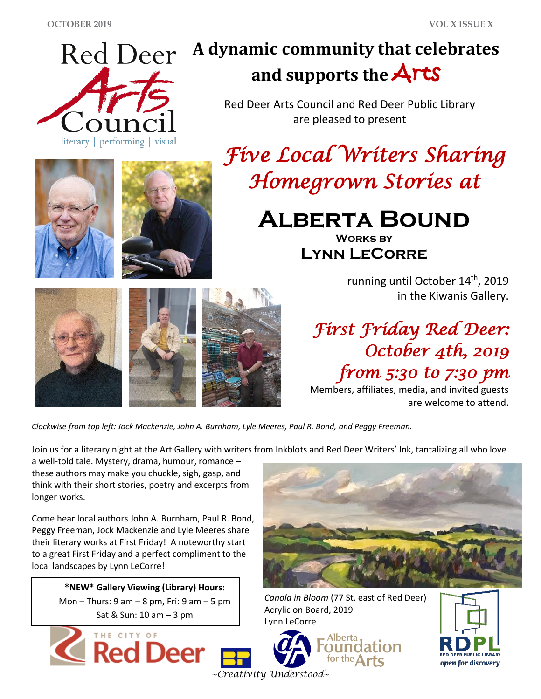

# **A dynamic community that celebrates and supports the** Arts

Red Deer Arts Council and Red Deer Public Library are pleased to present

*Five Local Writers Sharing Homegrown Stories at* 

> **Alberta Bound Works by**

**Lynn LeCorre**

running until October 14<sup>th</sup>, 2019 in the Kiwanis Gallery.

*First Friday Red Deer: October 4th, 2019 from 5:30 to 7:30 pm* 

Members, affiliates, media, and invited guests are welcome to attend.

*Clockwise from top left: Jock Mackenzie, John A. Burnham, Lyle Meeres, Paul R. Bond, and Peggy Freeman.*

Join us for a literary night at the Art Gallery with writers from Inkblots and Red Deer Writers' Ink, tantalizing all who love

a well-told tale. Mystery, drama, humour, romance – these authors may make you chuckle, sigh, gasp, and think with their short stories, poetry and excerpts from longer works.

Come hear local authors John A. Burnham, Paul R. Bond, Peggy Freeman, Jock Mackenzie and Lyle Meeres share their literary works at First Friday! A noteworthy start to a great First Friday and a perfect compliment to the local landscapes by Lynn LeCorre!

> **\*NEW\* Gallery Viewing (Library) Hours:** Mon – Thurs:  $9$  am –  $8$  pm, Fri:  $9$  am –  $5$  pm Sat & Sun: 10 am – 3 pm





*Canola in Bloom* (77 St. east of Red Deer) Acrylic on Board, 2019 Lynn LeCorre



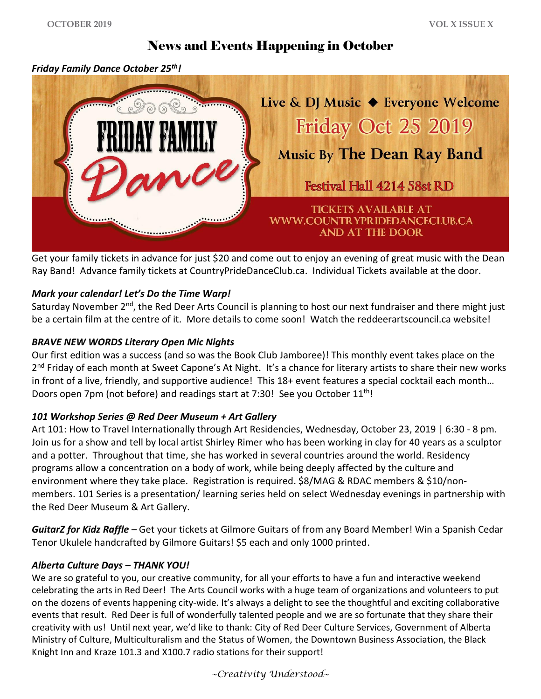## News and Events Happening in October

#### *Friday Family Dance October 25th!*



Get your family tickets in advance for just \$20 and come out to enjoy an evening of great music with the Dean Ray Band! Advance family tickets at CountryPrideDanceClub.ca. Individual Tickets available at the door.

#### *Mark your calendar! Let's Do the Time Warp!*

Saturday November 2<sup>nd</sup>, the Red Deer Arts Council is planning to host our next fundraiser and there might just be a certain film at the centre of it. More details to come soon! Watch the reddeerartscouncil.ca website!

#### *BRAVE NEW WORDS Literary Open Mic Nights*

Our first edition was a success (and so was the Book Club Jamboree)! This monthly event takes place on the 2<sup>nd</sup> Friday of each month at Sweet Capone's At Night. It's a chance for literary artists to share their new works in front of a live, friendly, and supportive audience! This 18+ event features a special cocktail each month... Doors open 7pm (not before) and readings start at 7:30! See you October 11<sup>th</sup>!

#### *101 Workshop Series @ Red Deer Museum + Art Gallery*

Art 101: How to Travel Internationally through Art Residencies, Wednesday, October 23, 2019 | 6:30 - 8 pm. Join us for a show and tell by local artist Shirley Rimer who has been working in clay for 40 years as a sculptor and a potter. Throughout that time, she has worked in several countries around the world. Residency programs allow a concentration on a body of work, while being deeply affected by the culture and environment where they take place. Registration is required. \$8/MAG & RDAC members & \$10/nonmembers. 101 Series is a presentation/ learning series held on select Wednesday evenings in partnership with the Red Deer Museum & Art Gallery.

*GuitarZ for Kidz Raffle –* Get your tickets at Gilmore Guitars of from any Board Member! Win a Spanish Cedar Tenor Ukulele handcrafted by Gilmore Guitars! \$5 each and only 1000 printed.

#### *Alberta Culture Days – THANK YOU!*

We are so grateful to you, our creative community, for all your efforts to have a fun and interactive weekend celebrating the arts in Red Deer! The Arts Council works with a huge team of organizations and volunteers to put on the dozens of events happening city-wide. It's always a delight to see the thoughtful and exciting collaborative events that result. Red Deer is full of wonderfully talented people and we are so fortunate that they share their creativity with us! Until next year, we'd like to thank: City of Red Deer Culture Services, Government of Alberta Ministry of Culture, Multiculturalism and the Status of Women, the Downtown Business Association, the Black Knight Inn and Kraze 101.3 and X100.7 radio stations for their support!

*~Creativity Understood~*